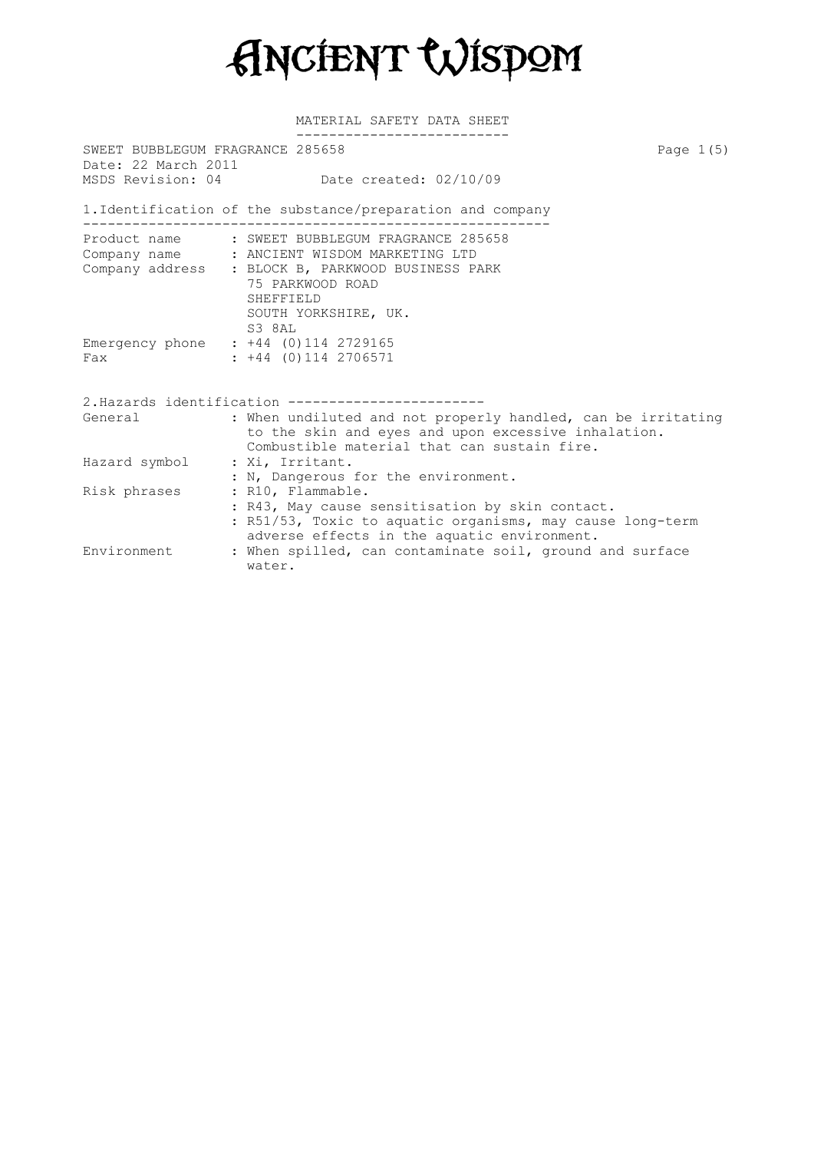Ancient Wisdom

| SWEET BUBBLEGUM FRAGRANCE 285658<br>Date: 22 March 2011 |                                                              | Page $1(5)$ |
|---------------------------------------------------------|--------------------------------------------------------------|-------------|
|                                                         | MSDS Revision: 04 Date created: 02/10/09                     |             |
|                                                         | 1. Identification of the substance/preparation and company   |             |
|                                                         | Product name : SWEET BUBBLEGUM FRAGRANCE 285658              |             |
|                                                         | Company name : ANCIENT WISDOM MARKETING LTD                  |             |
|                                                         | Company address : BLOCK B, PARKWOOD BUSINESS PARK            |             |
|                                                         | 75 PARKWOOD ROAD                                             |             |
|                                                         | SHEFFIELD                                                    |             |
|                                                         | SOUTH YORKSHIRE, UK.                                         |             |
|                                                         | S3 8AL                                                       |             |
|                                                         | Emergency phone : +44 (0)114 2729165                         |             |
| Fax                                                     | $: +44$ (0)114 2706571                                       |             |
|                                                         | 2. Hazards identification ---------------------              |             |
| General                                                 | : When undiluted and not properly handled, can be irritating |             |
|                                                         | to the skin and eyes and upon excessive inhalation.          |             |
|                                                         | Combustible material that can sustain fire.                  |             |
| Hazard symbol : Xi, Irritant.                           |                                                              |             |
|                                                         | : N, Dangerous for the environment.                          |             |
| Risk phrases                                            | : R10, Flammable.                                            |             |
|                                                         | : R43, May cause sensitisation by skin contact.              |             |
|                                                         | : R51/53, Toxic to aquatic organisms, may cause long-term    |             |
|                                                         | adverse effects in the aquatic environment.                  |             |
| Environment                                             | : When spilled, can contaminate soil, ground and surface     |             |
|                                                         | water.                                                       |             |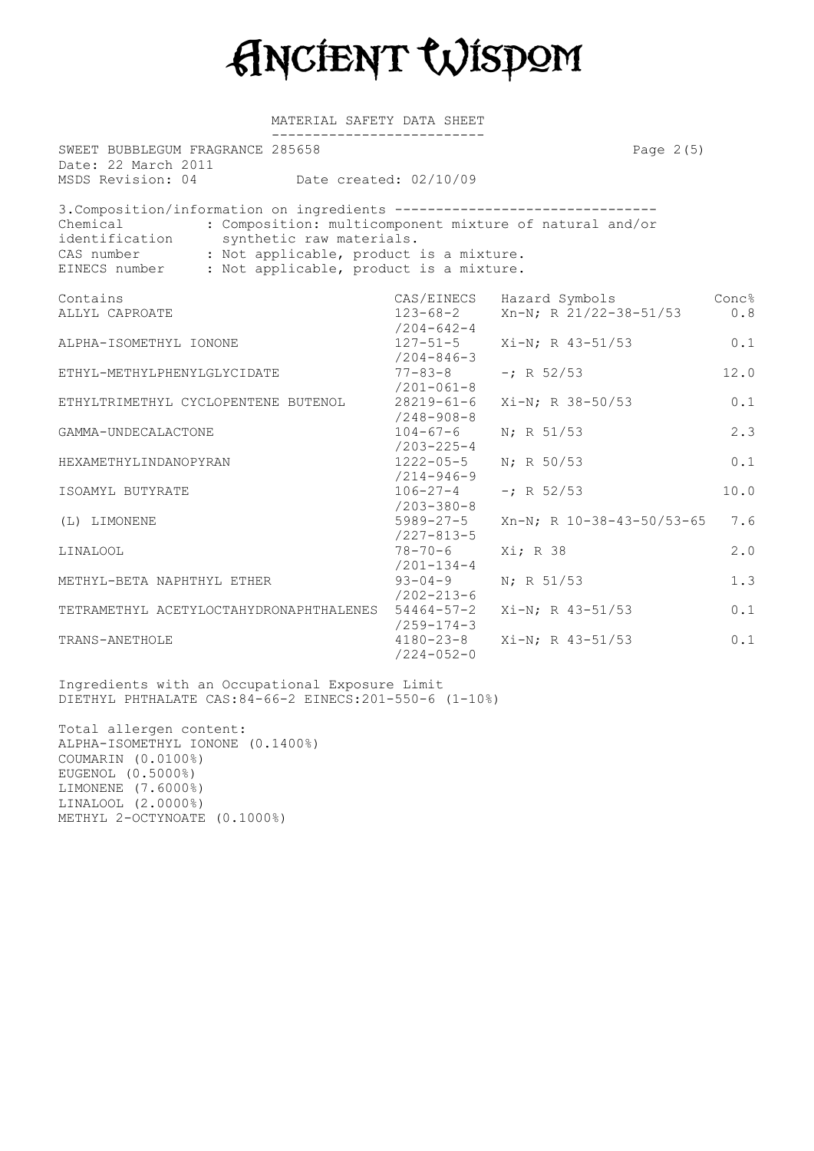Ancient Wisdom

| SWEET BUBBLEGUM FRAGRANCE 285658<br>Date: 22 March 2011                                                                                                                                                                                          |                                                        |                                                         | Page $2(5)$ |
|--------------------------------------------------------------------------------------------------------------------------------------------------------------------------------------------------------------------------------------------------|--------------------------------------------------------|---------------------------------------------------------|-------------|
| MSDS Revision: 04 Date created: 02/10/09                                                                                                                                                                                                         |                                                        |                                                         |             |
| 3. Composition/information on ingredients --------------------------------<br>Chemical<br>identification synthetic raw materials.<br>CAS number : Not applicable, product is a mixture.<br>EINECS number : Not applicable, product is a mixture. |                                                        | : Composition: multicomponent mixture of natural and/or |             |
| Contains                                                                                                                                                                                                                                         |                                                        | CAS/EINECS Hazard Symbols                               | Conc%       |
| ALLYL CAPROATE                                                                                                                                                                                                                                   |                                                        | 123-68-2 $Xn-N$ ; R $21/22-38-51/53$                    | 0.8         |
| ALPHA-ISOMETHYL IONONE                                                                                                                                                                                                                           | $/204 - 642 - 4$<br>$127 - 51 - 5$<br>$/204 - 846 - 3$ | Xi-N; R 43-51/53                                        | 0.1         |
| ETHYL-METHYLPHENYLGLYCIDATE                                                                                                                                                                                                                      | $/201 - 061 - 8$                                       | $77 - 83 - 8$ -; R 52/53                                | 12.0        |
| ETHYLTRIMETHYL CYCLOPENTENE BUTENOL                                                                                                                                                                                                              | $/248 - 908 - 8$                                       | 28219-61-6 Xi-N; R 38-50/53                             | 0.1         |
| GAMMA-UNDECALACTONE                                                                                                                                                                                                                              | $/203 - 225 - 4$                                       | $104-67-6$ N; R 51/53                                   | 2.3         |
| HEXAMETHYLINDANOPYRAN                                                                                                                                                                                                                            | $/214 - 946 - 9$                                       | 1222-05-5 N; R 50/53                                    | 0.1         |
| ISOAMYL BUTYRATE                                                                                                                                                                                                                                 | $106 - 27 - 4$<br>/203-380-8                           | $-i$ R 52/53                                            | 10.0        |
| (L) LIMONENE                                                                                                                                                                                                                                     | $5989 - 27 - 5$<br>$/227 - 813 - 5$                    | $Xn-N$ ; R 10-38-43-50/53-65                            | 7.6         |
| <b>LINALOOL</b>                                                                                                                                                                                                                                  | 78-70-6<br>$/201 - 134 - 4$                            | Xi; R 38                                                | 2.0         |
| METHYL-BETA NAPHTHYL ETHER                                                                                                                                                                                                                       | $/202 - 213 - 6$                                       | 93-04-9 $N$ ; R 51/53                                   | 1.3         |
| TETRAMETHYL ACETYLOCTAHYDRONAPHTHALENES 54464-57-2 Xi-N; R 43-51/53                                                                                                                                                                              | $/259 - 174 - 3$                                       |                                                         | 0.1         |
| TRANS-ANETHOLE                                                                                                                                                                                                                                   | $4180 - 23 - 8$<br>$/224 - 052 - 0$                    | Xi-N; R 43-51/53                                        | 0.1         |

Ingredients with an Occupational Exposure Limit DIETHYL PHTHALATE CAS:84-66-2 EINECS:201-550-6 (1-10%)

Total allergen content: ALPHA-ISOMETHYL IONONE (0.1400%) COUMARIN (0.0100%) EUGENOL (0.5000%) LIMONENE (7.6000%) LINALOOL (2.0000%) METHYL 2-OCTYNOATE (0.1000%)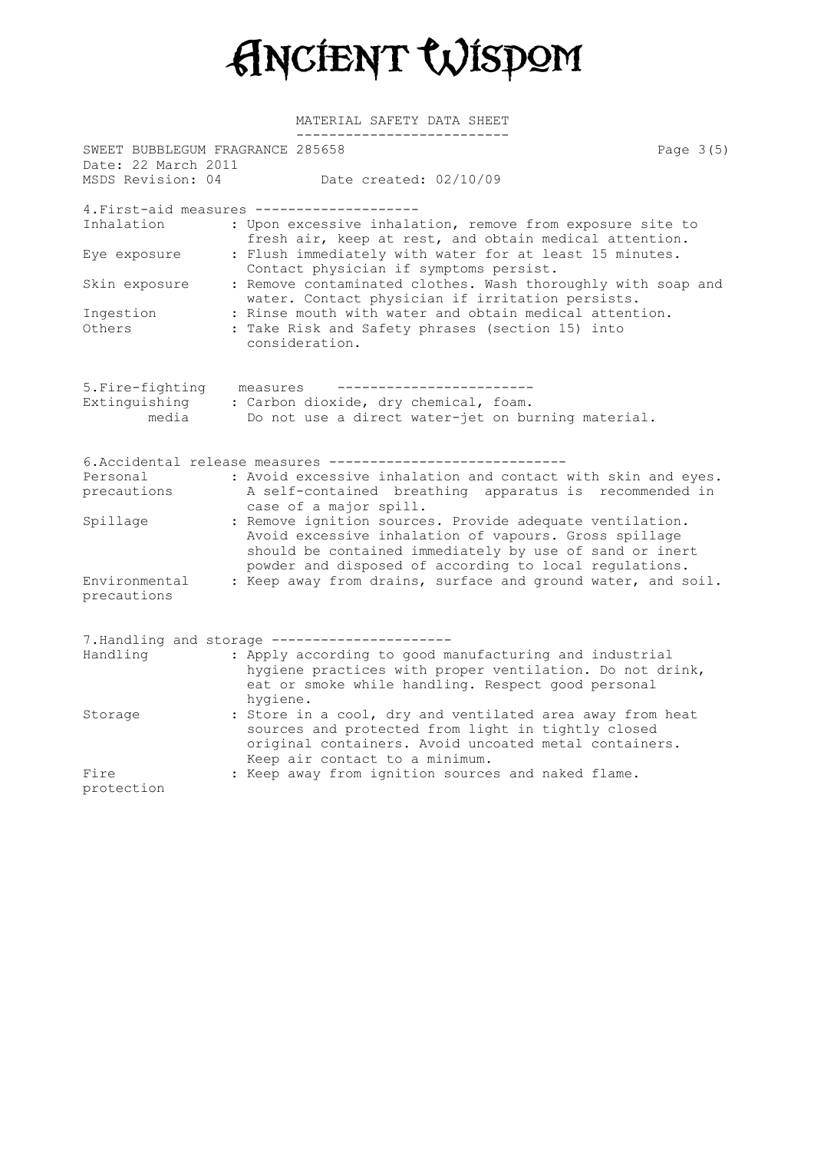Ancient Wisdom

| SWEET BUBBLEGUM FRAGRANCE 285658<br>Date: 22 March 2011 |                                                                                                                                                                                                                                        | Page 3(5) |
|---------------------------------------------------------|----------------------------------------------------------------------------------------------------------------------------------------------------------------------------------------------------------------------------------------|-----------|
| MSDS Revision: 04                                       | Date created: 02/10/09                                                                                                                                                                                                                 |           |
|                                                         | 4. First-aid measures ------------------                                                                                                                                                                                               |           |
| Inhalation                                              | : Upon excessive inhalation, remove from exposure site to<br>fresh air, keep at rest, and obtain medical attention.                                                                                                                    |           |
| Eye exposure                                            | : Flush immediately with water for at least 15 minutes.<br>Contact physician if symptoms persist.                                                                                                                                      |           |
| Skin exposure                                           | : Remove contaminated clothes. Wash thoroughly with soap and<br>water. Contact physician if irritation persists.                                                                                                                       |           |
| Ingestion<br>Others                                     | : Rinse mouth with water and obtain medical attention.<br>: Take Risk and Safety phrases (section 15) into<br>consideration.                                                                                                           |           |
| 5. Fire-fighting                                        | measures                                                                                                                                                                                                                               |           |
| Extinguishing<br>media                                  | : Carbon dioxide, dry chemical, foam.<br>Do not use a direct water-jet on burning material.                                                                                                                                            |           |
|                                                         | 6. Accidental release measures -----------------                                                                                                                                                                                       |           |
| Personal                                                | : Avoid excessive inhalation and contact with skin and eyes.                                                                                                                                                                           |           |
| precautions                                             | A self-contained breathing apparatus is recommended in<br>case of a major spill.                                                                                                                                                       |           |
| Spillage                                                | : Remove ignition sources. Provide adequate ventilation.<br>Avoid excessive inhalation of vapours. Gross spillage<br>should be contained immediately by use of sand or inert<br>powder and disposed of according to local regulations. |           |
| Environmental<br>precautions                            | : Keep away from drains, surface and ground water, and soil.                                                                                                                                                                           |           |
|                                                         | 7. Handling and storage ---------------------                                                                                                                                                                                          |           |
| Handling                                                | : Apply according to good manufacturing and industrial<br>hygiene practices with proper ventilation. Do not drink,<br>eat or smoke while handling. Respect good personal<br>hygiene.                                                   |           |
| Storage                                                 | : Store in a cool, dry and ventilated area away from heat<br>sources and protected from light in tightly closed<br>original containers. Avoid uncoated metal containers.<br>Keep air contact to a minimum.                             |           |
| Fire                                                    | : Keep away from ignition sources and naked flame.                                                                                                                                                                                     |           |
| protection                                              |                                                                                                                                                                                                                                        |           |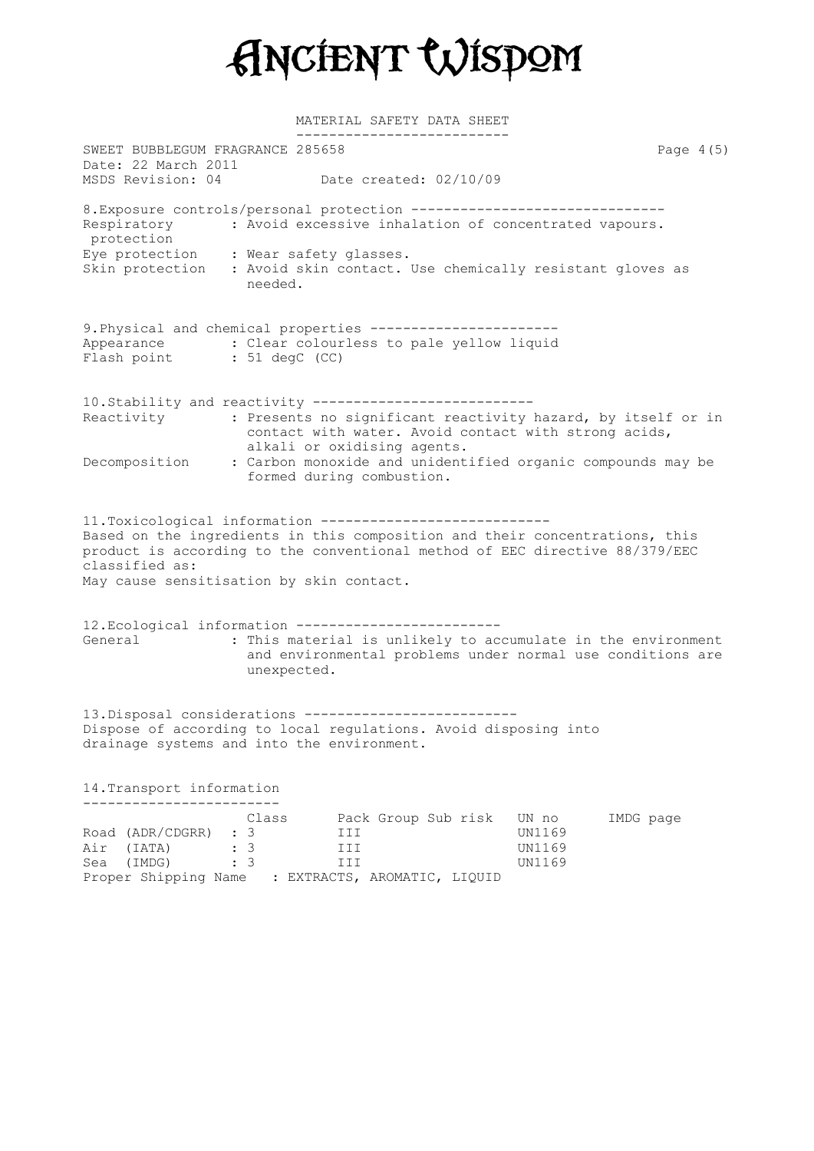Ancient Wisdom

| SWEET BUBBLEGUM FRAGRANCE 285658                                                                                                                                                                                                                                                     |                            |                                                          |                                                   | Page $4(5)$                                                                                                                |
|--------------------------------------------------------------------------------------------------------------------------------------------------------------------------------------------------------------------------------------------------------------------------------------|----------------------------|----------------------------------------------------------|---------------------------------------------------|----------------------------------------------------------------------------------------------------------------------------|
| Date: 22 March 2011<br>MSDS Revision: 04                                                                                                                                                                                                                                             |                            | Date created: 02/10/09                                   |                                                   |                                                                                                                            |
| 8. Exposure controls/personal protection ------------------------------<br>Respiratory : Avoid excessive inhalation of concentrated vapours.<br>protection<br>Eye protection : Wear safety glasses.<br>Skin protection : Avoid skin contact. Use chemically resistant gloves as      | needed.                    |                                                          |                                                   |                                                                                                                            |
| 9. Physical and chemical properties ----------------------<br>Appearance : Clear colourless to pale yellow liquid<br>Flash point : 51 degC (CC)                                                                                                                                      |                            |                                                          |                                                   |                                                                                                                            |
| 10. Stability and reactivity --------------------------<br>Reactivity                                                                                                                                                                                                                |                            | contact with water. Avoid contact with strong acids,     |                                                   | : Presents no significant reactivity hazard, by itself or in                                                               |
| Decomposition                                                                                                                                                                                                                                                                        |                            | alkali or oxidising agents.<br>formed during combustion. |                                                   | : Carbon monoxide and unidentified organic compounds may be                                                                |
| 11.Toxicological information ---------------------------<br>Based on the ingredients in this composition and their concentrations, this<br>product is according to the conventional method of EEC directive 88/379/EEC<br>classified as:<br>May cause sensitisation by skin contact. |                            |                                                          |                                                   |                                                                                                                            |
| 12. Ecological information ------------------------<br>General                                                                                                                                                                                                                       | unexpected.                |                                                          |                                                   | : This material is unlikely to accumulate in the environment<br>and environmental problems under normal use conditions are |
| 13. Disposal considerations ----------------------<br>Dispose of according to local regulations. Avoid disposing into<br>drainage systems and into the environment.                                                                                                                  |                            |                                                          |                                                   |                                                                                                                            |
| 14. Transport information                                                                                                                                                                                                                                                            |                            |                                                          |                                                   |                                                                                                                            |
| . <u>.</u> .<br>Road (ADR/CDGRR) : 3<br>Air (IATA)<br>Sea (IMDG)<br>Proper Shipping Name : EXTRACTS, AROMATIC, LIQUID                                                                                                                                                                | Class<br>$\colon$ 3<br>: 3 | Pack Group Sub risk<br>III<br>III<br>III                 | UN no<br><b>UN1169</b><br>UN1169<br><b>UN1169</b> | IMDG page                                                                                                                  |